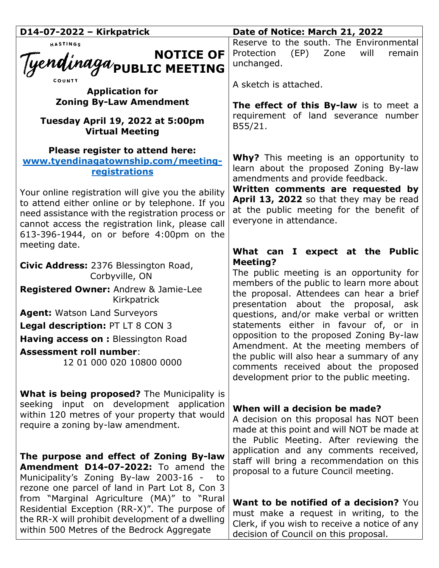| D14-07-2022 - Kirkpatrick                                                                                                                                                                                                                                 | Date of Notice: March 21, 2022                                                                                                                                             |
|-----------------------------------------------------------------------------------------------------------------------------------------------------------------------------------------------------------------------------------------------------------|----------------------------------------------------------------------------------------------------------------------------------------------------------------------------|
| HASTINGS<br>NOTICE OF NOTICE OF                                                                                                                                                                                                                           | Reserve to the south. The Environmental<br>(EP)<br>Protection<br>Zone<br>will<br>remain<br>unchanged.                                                                      |
| <b>Application for</b>                                                                                                                                                                                                                                    | A sketch is attached.                                                                                                                                                      |
| <b>Zoning By-Law Amendment</b>                                                                                                                                                                                                                            | The effect of this By-law is to meet a                                                                                                                                     |
| Tuesday April 19, 2022 at 5:00pm<br><b>Virtual Meeting</b>                                                                                                                                                                                                | requirement of land severance number<br>B55/21.                                                                                                                            |
| Please register to attend here:<br>www.tyendinagatownship.com/meeting-<br>registrations                                                                                                                                                                   | <b>Why?</b> This meeting is an opportunity to<br>learn about the proposed Zoning By-law<br>amendments and provide feedback.                                                |
| Your online registration will give you the ability<br>to attend either online or by telephone. If you<br>need assistance with the registration process or<br>cannot access the registration link, please call<br>613-396-1944, on or before 4:00pm on the | Written comments are requested by<br>April 13, 2022 so that they may be read<br>at the public meeting for the benefit of<br>everyone in attendance.                        |
| meeting date.                                                                                                                                                                                                                                             | What can I expect at the Public                                                                                                                                            |
| Civic Address: 2376 Blessington Road,<br>Corbyville, ON                                                                                                                                                                                                   | <b>Meeting?</b><br>The public meeting is an opportunity for                                                                                                                |
| Registered Owner: Andrew & Jamie-Lee<br>Kirkpatrick                                                                                                                                                                                                       | members of the public to learn more about<br>the proposal. Attendees can hear a brief<br>presentation about the proposal, ask                                              |
| <b>Agent: Watson Land Surveyors</b>                                                                                                                                                                                                                       | questions, and/or make verbal or written                                                                                                                                   |
| Legal description: PT LT 8 CON 3                                                                                                                                                                                                                          | statements either in favour of, or in<br>opposition to the proposed Zoning By-law                                                                                          |
| Having access on : Blessington Road<br><b>Assessment roll number:</b><br>12 01 000 020 10800 0000                                                                                                                                                         | Amendment. At the meeting members of<br>the public will also hear a summary of any<br>comments received about the proposed<br>development prior to the public meeting.     |
| <b>What is being proposed?</b> The Municipality is<br>seeking input on development application<br>within 120 metres of your property that would<br>require a zoning by-law amendment.                                                                     | When will a decision be made?<br>A decision on this proposal has NOT been<br>made at this point and will NOT be made at<br>the Public Meeting. After reviewing the         |
| The purpose and effect of Zoning By-law<br>Amendment D14-07-2022: To amend the<br>Municipality's Zoning By-law 2003-16 -<br>to<br>rezone one parcel of land in Part Lot 8, Con 3                                                                          | application and any comments received,<br>staff will bring a recommendation on this<br>proposal to a future Council meeting.                                               |
| from "Marginal Agriculture (MA)" to "Rural<br>Residential Exception (RR-X)". The purpose of<br>the RR-X will prohibit development of a dwelling<br>within 500 Metres of the Bedrock Aggregate                                                             | Want to be notified of a decision? You<br>must make a request in writing, to the<br>Clerk, if you wish to receive a notice of any<br>decision of Council on this proposal. |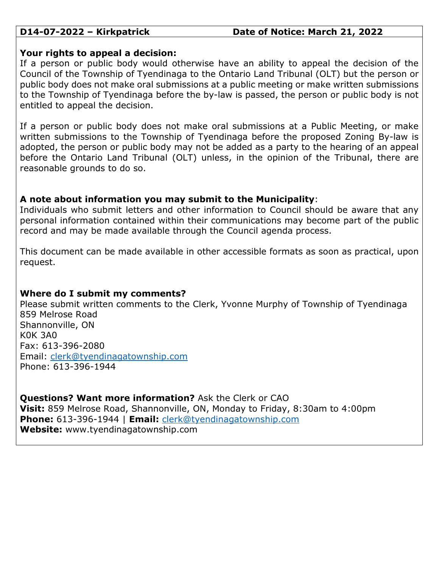# **D14-07-2022 – Kirkpatrick Date of Notice: March 21, 2022**

### **Your rights to appeal a decision:**

If a person or public body would otherwise have an ability to appeal the decision of the Council of the Township of Tyendinaga to the Ontario Land Tribunal (OLT) but the person or public body does not make oral submissions at a public meeting or make written submissions to the Township of Tyendinaga before the by-law is passed, the person or public body is not entitled to appeal the decision.

If a person or public body does not make oral submissions at a Public Meeting, or make written submissions to the Township of Tyendinaga before the proposed Zoning By-law is adopted, the person or public body may not be added as a party to the hearing of an appeal before the Ontario Land Tribunal (OLT) unless, in the opinion of the Tribunal, there are reasonable grounds to do so.

# **A note about information you may submit to the Municipality**:

Individuals who submit letters and other information to Council should be aware that any personal information contained within their communications may become part of the public record and may be made available through the Council agenda process.

This document can be made available in other accessible formats as soon as practical, upon request.

# **Where do I submit my comments?**

Please submit written comments to the Clerk, Yvonne Murphy of Township of Tyendinaga 859 Melrose Road Shannonville, ON K0K 3A0 Fax: 613-396-2080 Email: [clerk@tyendinagatownship.com](mailto:clerk@tyendinagatownship.com) Phone: 613-396-1944

**Questions? Want more information?** Ask the Clerk or CAO **Visit:** 859 Melrose Road, Shannonville, ON, Monday to Friday, 8:30am to 4:00pm **Phone:** 613-396-1944 | **Email:** [clerk@tyendinagatownship.com](mailto:clerk@tyendinagatownship.com) **Website:** www.tyendinagatownship.com